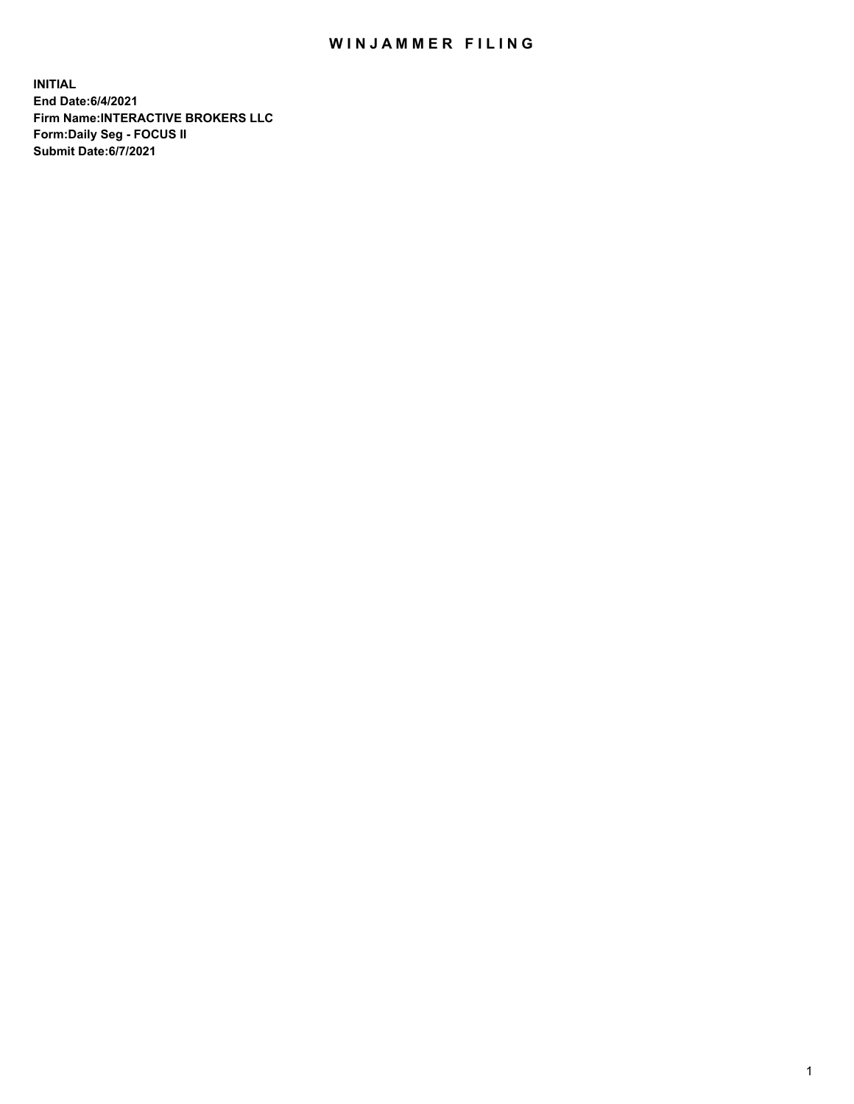## WIN JAMMER FILING

**INITIAL End Date:6/4/2021 Firm Name:INTERACTIVE BROKERS LLC Form:Daily Seg - FOCUS II Submit Date:6/7/2021**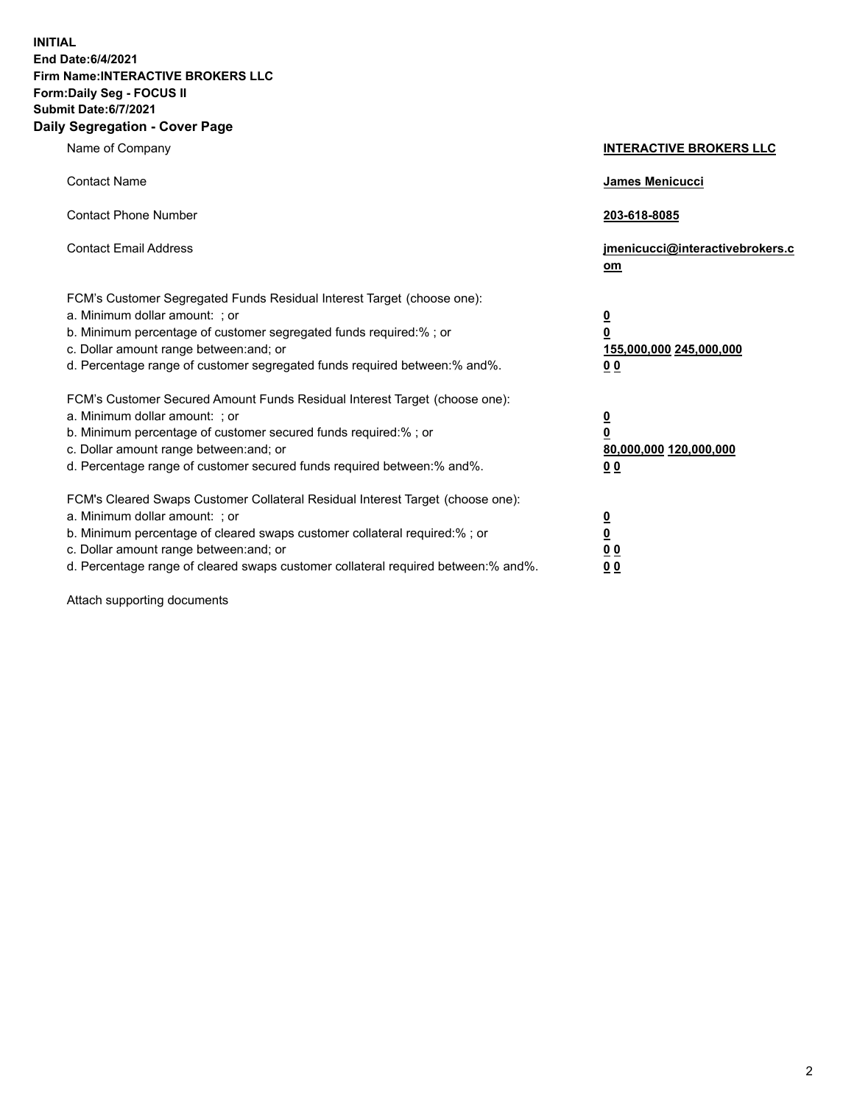**INITIAL End Date:6/4/2021 Firm Name:INTERACTIVE BROKERS LLC Form:Daily Seg - FOCUS II Submit Date:6/7/2021 Daily Segregation - Cover Page**

| Name of Company                                                                                                                                                                                                                                                                                                                | <b>INTERACTIVE BROKERS LLC</b>                                                                  |
|--------------------------------------------------------------------------------------------------------------------------------------------------------------------------------------------------------------------------------------------------------------------------------------------------------------------------------|-------------------------------------------------------------------------------------------------|
| <b>Contact Name</b>                                                                                                                                                                                                                                                                                                            | <b>James Menicucci</b>                                                                          |
| <b>Contact Phone Number</b>                                                                                                                                                                                                                                                                                                    | 203-618-8085                                                                                    |
| <b>Contact Email Address</b>                                                                                                                                                                                                                                                                                                   | jmenicucci@interactivebrokers.c<br>om                                                           |
| FCM's Customer Segregated Funds Residual Interest Target (choose one):<br>a. Minimum dollar amount: ; or<br>b. Minimum percentage of customer segregated funds required:%; or<br>c. Dollar amount range between: and; or<br>d. Percentage range of customer segregated funds required between:% and%.                          | $\overline{\mathbf{0}}$<br>$\overline{\mathbf{0}}$<br>155,000,000 245,000,000<br>0 <sub>0</sub> |
| FCM's Customer Secured Amount Funds Residual Interest Target (choose one):<br>a. Minimum dollar amount: ; or<br>b. Minimum percentage of customer secured funds required:%; or<br>c. Dollar amount range between: and; or<br>d. Percentage range of customer secured funds required between:% and%.                            | $\overline{\mathbf{0}}$<br>$\overline{\mathbf{0}}$<br>80,000,000 120,000,000<br>0 <sub>0</sub>  |
| FCM's Cleared Swaps Customer Collateral Residual Interest Target (choose one):<br>a. Minimum dollar amount: ; or<br>b. Minimum percentage of cleared swaps customer collateral required:% ; or<br>c. Dollar amount range between: and; or<br>d. Percentage range of cleared swaps customer collateral required between:% and%. | $\overline{\mathbf{0}}$<br>$\overline{\mathbf{0}}$<br>0 <sub>0</sub><br>0 <sub>0</sub>          |

Attach supporting documents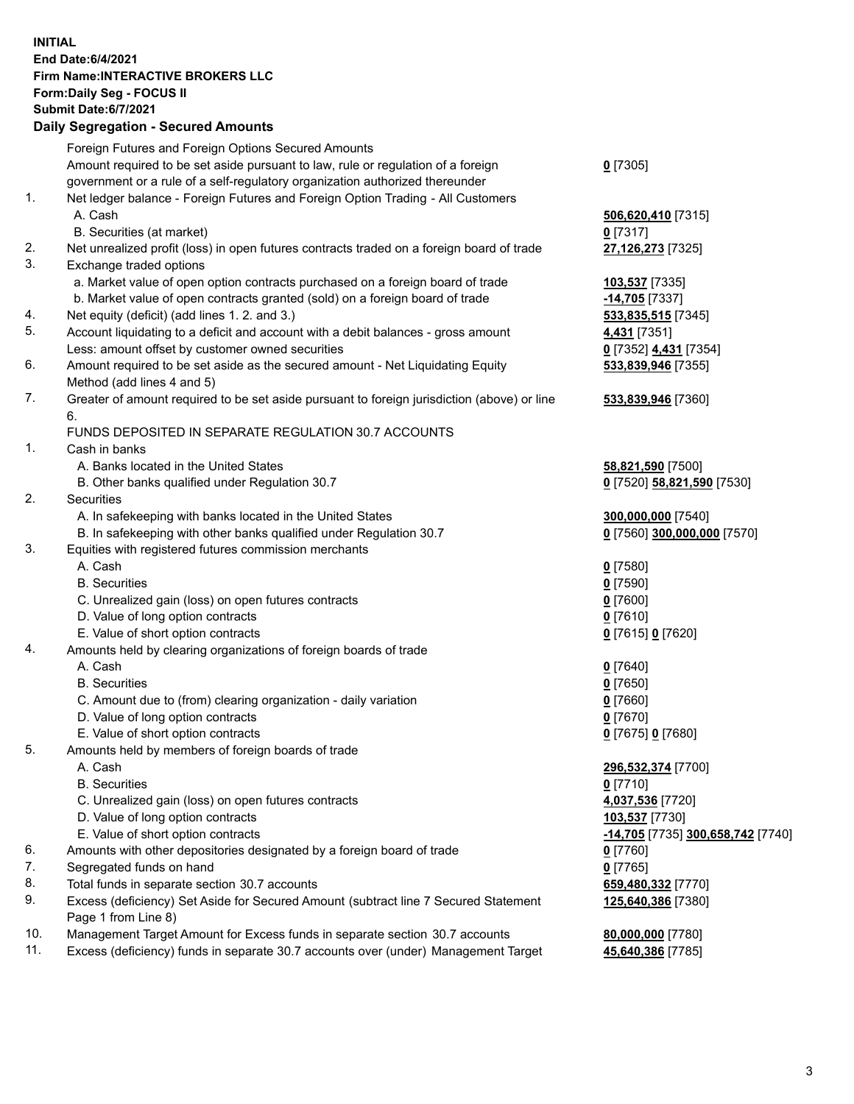## **INITIAL End Date:6/4/2021 Firm Name:INTERACTIVE BROKERS LLC Form:Daily Seg - FOCUS II Submit Date:6/7/2021 Daily Segregation - Secured Amounts**

|                | Dany Ocgregation - Oceanea Anioante                                                         |                                   |
|----------------|---------------------------------------------------------------------------------------------|-----------------------------------|
|                | Foreign Futures and Foreign Options Secured Amounts                                         |                                   |
|                | Amount required to be set aside pursuant to law, rule or regulation of a foreign            | $0$ [7305]                        |
|                | government or a rule of a self-regulatory organization authorized thereunder                |                                   |
| $\mathbf{1}$ . | Net ledger balance - Foreign Futures and Foreign Option Trading - All Customers             |                                   |
|                | A. Cash                                                                                     | 506,620,410 [7315]                |
|                | B. Securities (at market)                                                                   | $0$ [7317]                        |
| 2.             | Net unrealized profit (loss) in open futures contracts traded on a foreign board of trade   | 27,126,273 [7325]                 |
| 3.             | Exchange traded options                                                                     |                                   |
|                | a. Market value of open option contracts purchased on a foreign board of trade              | 103,537 [7335]                    |
|                | b. Market value of open contracts granted (sold) on a foreign board of trade                | -14,705 [7337]                    |
| 4.             | Net equity (deficit) (add lines 1. 2. and 3.)                                               | 533,835,515 [7345]                |
| 5.             | Account liquidating to a deficit and account with a debit balances - gross amount           | 4,431 [7351]                      |
|                | Less: amount offset by customer owned securities                                            | 0 [7352] 4,431 [7354]             |
| 6.             | Amount required to be set aside as the secured amount - Net Liquidating Equity              | 533,839,946 [7355]                |
|                | Method (add lines 4 and 5)                                                                  |                                   |
| 7.             | Greater of amount required to be set aside pursuant to foreign jurisdiction (above) or line | 533,839,946 [7360]                |
|                | 6.                                                                                          |                                   |
|                | FUNDS DEPOSITED IN SEPARATE REGULATION 30.7 ACCOUNTS                                        |                                   |
| $\mathbf{1}$ . | Cash in banks                                                                               |                                   |
|                | A. Banks located in the United States                                                       | 58,821,590 [7500]                 |
|                | B. Other banks qualified under Regulation 30.7                                              | 0 [7520] 58,821,590 [7530]        |
| 2.             | <b>Securities</b>                                                                           |                                   |
|                | A. In safekeeping with banks located in the United States                                   | 300,000,000 [7540]                |
|                | B. In safekeeping with other banks qualified under Regulation 30.7                          | 0 [7560] 300,000,000 [7570]       |
| 3.             | Equities with registered futures commission merchants                                       |                                   |
|                | A. Cash                                                                                     | $Q$ [7580]                        |
|                | <b>B.</b> Securities                                                                        | $0$ [7590]                        |
|                | C. Unrealized gain (loss) on open futures contracts                                         | $0$ [7600]                        |
|                | D. Value of long option contracts                                                           | $0$ [7610]                        |
|                | E. Value of short option contracts                                                          | 0 [7615] 0 [7620]                 |
| 4.             | Amounts held by clearing organizations of foreign boards of trade                           |                                   |
|                | A. Cash                                                                                     | $Q$ [7640]                        |
|                | <b>B.</b> Securities                                                                        | $0$ [7650]                        |
|                | C. Amount due to (from) clearing organization - daily variation                             | $0$ [7660]                        |
|                | D. Value of long option contracts                                                           | $0$ [7670]                        |
|                | E. Value of short option contracts                                                          | 0 [7675] 0 [7680]                 |
| 5.             | Amounts held by members of foreign boards of trade                                          |                                   |
|                | A. Cash                                                                                     | 296,532,374 [7700]                |
|                | <b>B.</b> Securities                                                                        | $0$ [7710]                        |
|                | C. Unrealized gain (loss) on open futures contracts                                         | 4,037,536 [7720]                  |
|                | D. Value of long option contracts                                                           | 103,537 [7730]                    |
|                | E. Value of short option contracts                                                          | -14,705 [7735] 300,658,742 [7740] |
| 6.             | Amounts with other depositories designated by a foreign board of trade                      | $0$ [7760]                        |
| 7.             | Segregated funds on hand                                                                    | $0$ [7765]                        |
| 8.             | Total funds in separate section 30.7 accounts                                               | 659,480,332 [7770]                |
| 9.             | Excess (deficiency) Set Aside for Secured Amount (subtract line 7 Secured Statement         | 125,640,386 [7380]                |
|                | Page 1 from Line 8)                                                                         |                                   |
| 10.            | Management Target Amount for Excess funds in separate section 30.7 accounts                 | 80,000,000 [7780]                 |
| 11.            | Excess (deficiency) funds in separate 30.7 accounts over (under) Management Target          | 45,640,386 [7785]                 |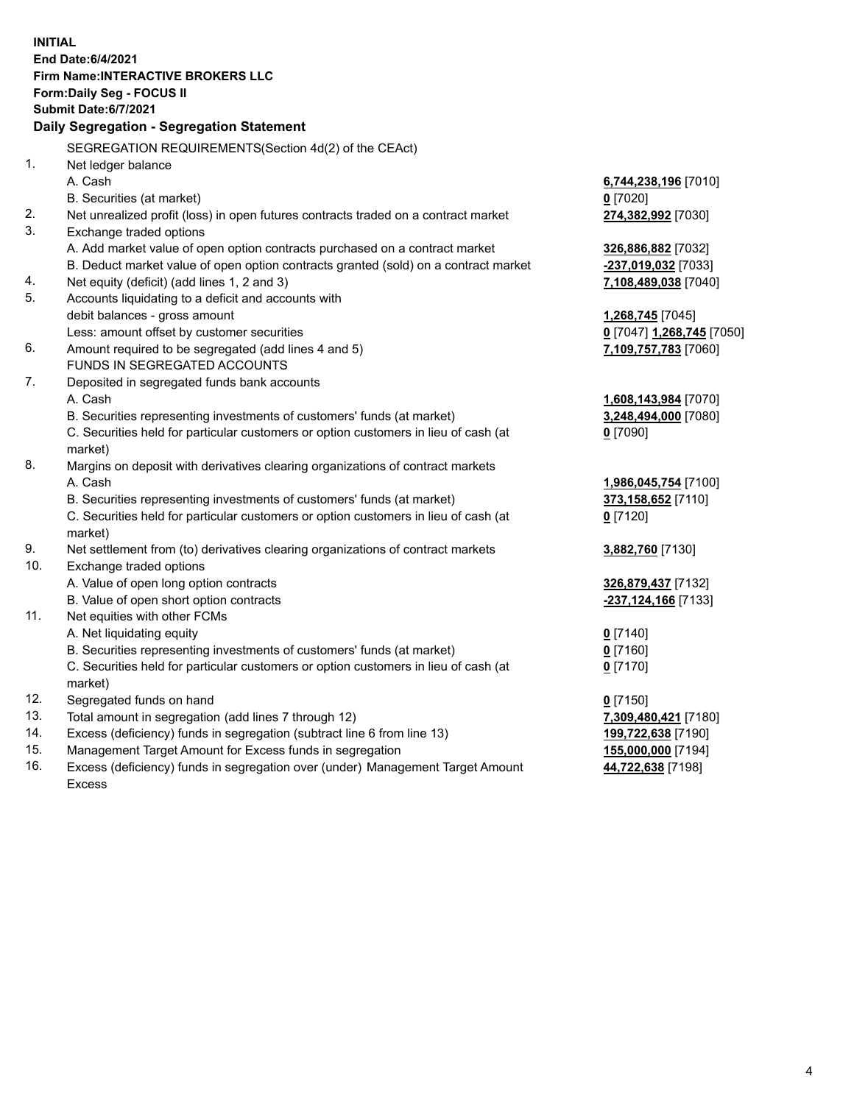**INITIAL End Date:6/4/2021 Firm Name:INTERACTIVE BROKERS LLC Form:Daily Seg - FOCUS II Submit Date:6/7/2021 Daily Segregation - Segregation Statement** SEGREGATION REQUIREMENTS(Section 4d(2) of the CEAct) 1. Net ledger balance A. Cash **6,744,238,196** [7010] B. Securities (at market) **0** [7020] 2. Net unrealized profit (loss) in open futures contracts traded on a contract market **274,382,992** [7030] 3. Exchange traded options A. Add market value of open option contracts purchased on a contract market **326,886,882** [7032] B. Deduct market value of open option contracts granted (sold) on a contract market **-237,019,032** [7033] 4. Net equity (deficit) (add lines 1, 2 and 3) **7,108,489,038** [7040] 5. Accounts liquidating to a deficit and accounts with debit balances - gross amount **1,268,745** [7045] Less: amount offset by customer securities **0** [7047] **1,268,745** [7050] 6. Amount required to be segregated (add lines 4 and 5) **7,109,757,783** [7060] FUNDS IN SEGREGATED ACCOUNTS 7. Deposited in segregated funds bank accounts A. Cash **1,608,143,984** [7070] B. Securities representing investments of customers' funds (at market) **3,248,494,000** [7080] C. Securities held for particular customers or option customers in lieu of cash (at market) **0** [7090] 8. Margins on deposit with derivatives clearing organizations of contract markets A. Cash **1,986,045,754** [7100] B. Securities representing investments of customers' funds (at market) **373,158,652** [7110] C. Securities held for particular customers or option customers in lieu of cash (at market) **0** [7120] 9. Net settlement from (to) derivatives clearing organizations of contract markets **3,882,760** [7130] 10. Exchange traded options A. Value of open long option contracts **326,879,437** [7132] B. Value of open short option contracts **-237,124,166** [7133] 11. Net equities with other FCMs A. Net liquidating equity **0** [7140] B. Securities representing investments of customers' funds (at market) **0** [7160] C. Securities held for particular customers or option customers in lieu of cash (at market) **0** [7170] 12. Segregated funds on hand **0** [7150] 13. Total amount in segregation (add lines 7 through 12) **7,309,480,421** [7180] 14. Excess (deficiency) funds in segregation (subtract line 6 from line 13) **199,722,638** [7190] 15. Management Target Amount for Excess funds in segregation **155,000,000** [7194]

16. Excess (deficiency) funds in segregation over (under) Management Target Amount Excess

**44,722,638** [7198]